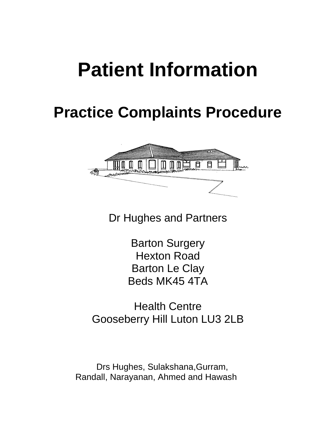# **Patient Information**

# **Practice Complaints Procedure**



Dr Hughes and Partners

Barton Surgery Hexton Road Barton Le Clay Beds MK45 4TA

Health Centre Gooseberry Hill Luton LU3 2LB

 Drs Hughes, Sulakshana,Gurram, Randall, Narayanan, Ahmed and Hawash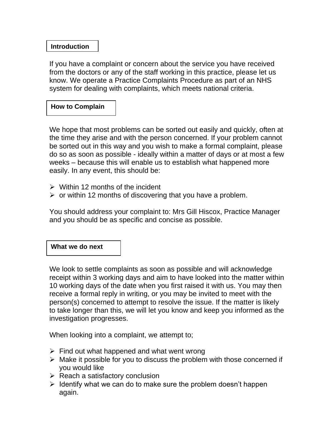# **Introduction**

If you have a complaint or concern about the service you have received from the doctors or any of the staff working in this practice, please let us know. We operate a Practice Complaints Procedure as part of an NHS system for dealing with complaints, which meets national criteria.

## **How to Complain**

We hope that most problems can be sorted out easily and quickly, often at the time they arise and with the person concerned. If your problem cannot be sorted out in this way and you wish to make a formal complaint, please do so as soon as possible - ideally within a matter of days or at most a few weeks – because this will enable us to establish what happened more easily. In any event, this should be:

- $\triangleright$  Within 12 months of the incident
- $\triangleright$  or within 12 months of discovering that you have a problem.

You should address your complaint to: Mrs Gill Hiscox, Practice Manager and you should be as specific and concise as possible.

#### **What we do next**

We look to settle complaints as soon as possible and will acknowledge receipt within 3 working days and aim to have looked into the matter within 10 working days of the date when you first raised it with us. You may then receive a formal reply in writing, or you may be invited to meet with the person(s) concerned to attempt to resolve the issue. If the matter is likely to take longer than this, we will let you know and keep you informed as the investigation progresses.

When looking into a complaint, we attempt to;

- $\triangleright$  Find out what happened and what went wrong
- $\triangleright$  Make it possible for you to discuss the problem with those concerned if you would like
- $\triangleright$  Reach a satisfactory conclusion
- $\triangleright$  Identify what we can do to make sure the problem doesn't happen again.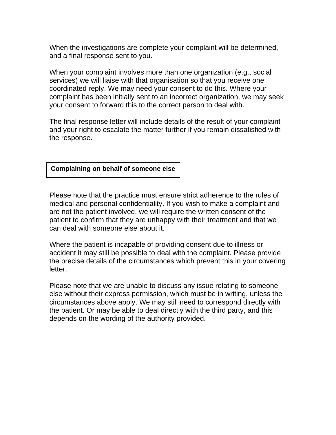When the investigations are complete your complaint will be determined, and a final response sent to you.

When your complaint involves more than one organization (e.g., social services) we will liaise with that organisation so that you receive one coordinated reply. We may need your consent to do this. Where your complaint has been initially sent to an incorrect organization, we may seek your consent to forward this to the correct person to deal with.

The final response letter will include details of the result of your complaint and your right to escalate the matter further if you remain dissatisfied with the response.

#### **Complaining on behalf of someone else**

Please note that the practice must ensure strict adherence to the rules of medical and personal confidentiality. If you wish to make a complaint and are not the patient involved, we will require the written consent of the patient to confirm that they are unhappy with their treatment and that we can deal with someone else about it.

Where the patient is incapable of providing consent due to illness or accident it may still be possible to deal with the complaint. Please provide the precise details of the circumstances which prevent this in your covering letter.

Please note that we are unable to discuss any issue relating to someone else without their express permission, which must be in writing, unless the circumstances above apply. We may still need to correspond directly with the patient. Or may be able to deal directly with the third party, and this depends on the wording of the authority provided.